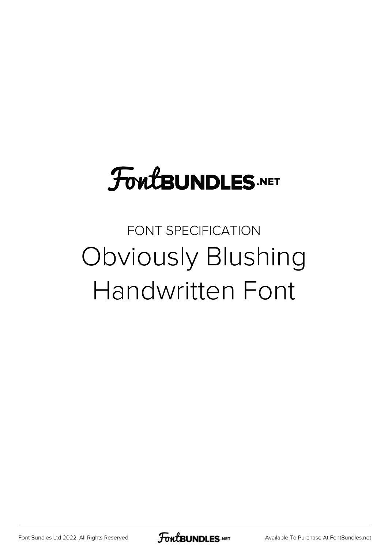## **FoutBUNDLES.NET**

## FONT SPECIFICATION Obviously Blushing Handwritten Font

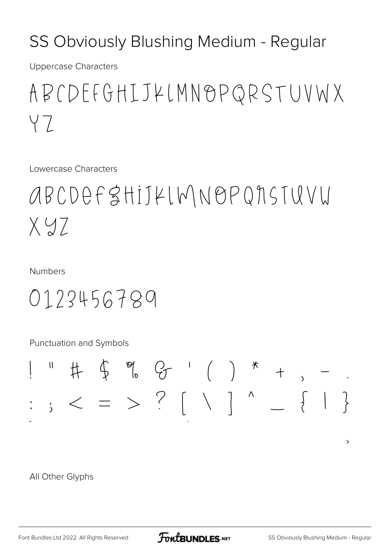## SS Obviously Blushing Medium - Regular

**Uppercase Characters** 

ABCDEFGHIJKLMNOPQRSTUVWX YZ

Lowercase Characters

ABCDEFSHIJKLWNOPQNSTUVU  $X.97$ 

**Numbers** 

0123456789

Punctuation and Symbols



All Other Glyphs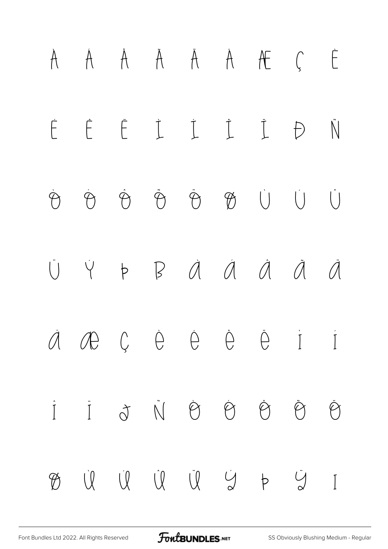